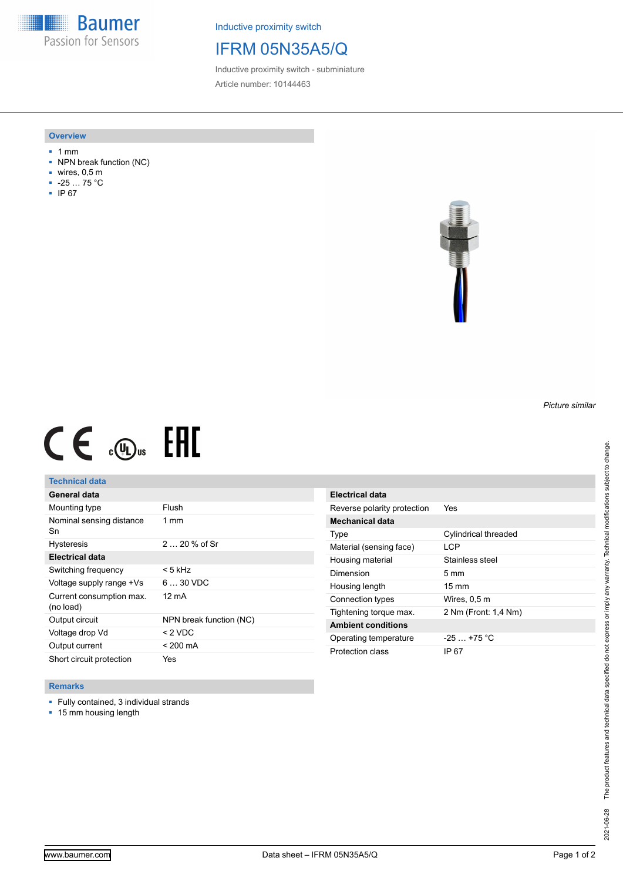**Baumer** Passion for Sensors

Inductive proximity switch

# IFRM 05N35A5/Q

Inductive proximity switch - subminiature Article number: 10144463

#### **Overview**

- 1 mm
- NPN break function (NC)
- wires, 0,5 m
- -25 … 75 °C
- IP 67



# $CE \text{ and } CH$

## **Technical data**

| General data                          |                         |
|---------------------------------------|-------------------------|
| Mounting type                         | Flush                   |
| Nominal sensing distance<br>Sn        | $1 \text{ mm}$          |
| <b>Hysteresis</b>                     | $220%$ of Sr            |
| <b>Electrical data</b>                |                         |
| Switching frequency                   | < 5 kHz                 |
| Voltage supply range +Vs              | $630$ VDC               |
| Current consumption max.<br>(no load) | 12 mA                   |
| Output circuit                        | NPN break function (NC) |
| Voltage drop Vd                       | $< 2$ VDC               |
| Output current                        | $< 200 \text{ mA}$      |
| Short circuit protection              | Yes                     |

| <b>Electrical data</b>      |                      |
|-----------------------------|----------------------|
| Reverse polarity protection | Yes                  |
| <b>Mechanical data</b>      |                      |
| Type                        | Cylindrical threaded |
| Material (sensing face)     | LCP                  |
| Housing material            | Stainless steel      |
| Dimension                   | $5 \text{ mm}$       |
|                             |                      |
| Housing length              | $15 \text{ mm}$      |
| Connection types            | Wires, 0,5 m         |
| Tightening torque max.      | 2 Nm (Front: 1,4 Nm) |
| <b>Ambient conditions</b>   |                      |
| Operating temperature       | $-25$ $+75$ °C       |

### **Remarks**

- Fully contained, 3 individual strands
- 15 mm housing length

*Picture similar*